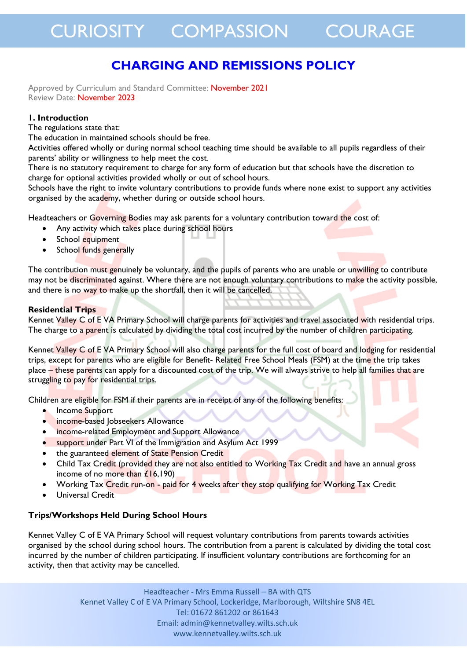### **CHARGING AND REMISSIONS POLICY**

Approved by Curriculum and Standard Committee: November 2021 Review Date: November 2023

#### **1. Introduction**

The regulations state that:

The education in maintained schools should be free.

Activities offered wholly or during normal school teaching time should be available to all pupils regardless of their parents' ability or willingness to help meet the cost.

There is no statutory requirement to charge for any form of education but that schools have the discretion to charge for optional activities provided wholly or out of school hours.

Schools have the right to invite voluntary contributions to provide funds where none exist to support any activities organised by the academy, whether during or outside school hours.

Headteachers or Governing Bodies may ask parents for a voluntary contribution toward the cost of:

- Any activity which takes place during school hours
- School equipment
- School funds generally

The contribution must genuinely be voluntary, and the pupils of parents who are unable or unwilling to contribute may not be discriminated against. Where there are not enough voluntary contributions to make the activity possible, and there is no way to make up the shortfall, then it will be cancelled.

#### **Residential Trips**

Kennet Valley C of E VA Primary School will charge parents for activities and travel associated with residential trips. The charge to a parent is calculated by dividing the total cost incurred by the number of children participating.

Kennet Valley C of E VA Primary School will also charge parents for the full cost of board and lodging for residential trips, except for parents who are eligible for Benefit- Related Free School Meals (FSM) at the time the trip takes place – these parents can apply for a discounted cost of the trip. We will always strive to help all families that are struggling to pay for residential trips.

Children are eligible for FSM if their parents are in receipt of any of the following benefits:

- Income Support
- income-based Jobseekers Allowance
- income-related Employment and Support Allowance
- support under Part VI of the Immigration and Asylum Act 1999
- the guaranteed element of State Pension Credit
- Child Tax Credit (provided they are not also entitled to Working Tax Credit and have an annual gross income of no more than £16,190)
- Working Tax Credit run-on paid for 4 weeks after they stop qualifying for Working Tax Credit
- Universal Credit

#### **Trips/Workshops Held During School Hours**

Kennet Valley C of E VA Primary School will request voluntary contributions from parents towards activities organised by the school during school hours. The contribution from a parent is calculated by dividing the total cost incurred by the number of children participating. If insufficient voluntary contributions are forthcoming for an activity, then that activity may be cancelled.

> Headteacher - Mrs Emma Russell – BA with QTS Kennet Valley C of E VA Primary School, Lockeridge, Marlborough, Wiltshire SN8 4EL Tel: 01672 861202 or 861643 Email: admin@kennetvalley.wilts.sch.uk www.kennetvalley.wilts.sch.uk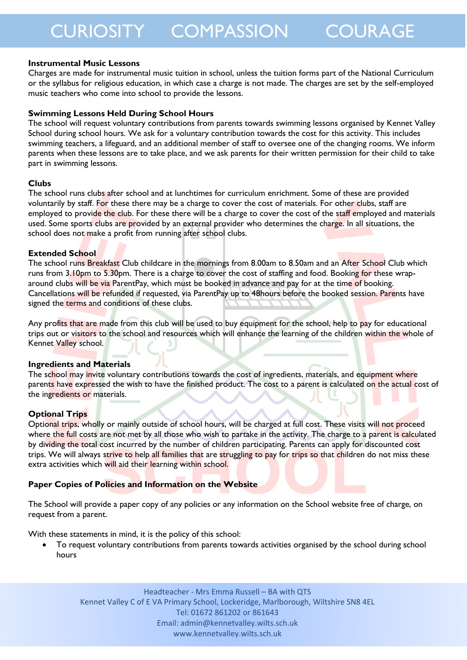## CURIOSITY COMPASSION COURAGE

#### **Instrumental Music Lessons**

Charges are made for instrumental music tuition in school, unless the tuition forms part of the National Curriculum or the syllabus for religious education, in which case a charge is not made. The charges are set by the self-employed music teachers who come into school to provide the lessons.

#### **Swimming Lessons Held During School Hours**

The school will request voluntary contributions from parents towards swimming lessons organised by Kennet Valley School during school hours. We ask for a voluntary contribution towards the cost for this activity. This includes swimming teachers, a lifeguard, and an additional member of staff to oversee one of the changing rooms. We inform parents when these lessons are to take place, and we ask parents for their written permission for their child to take part in swimming lessons.

#### **Clubs**

The school runs clubs after school and at lunchtimes for curriculum enrichment. Some of these are provided voluntarily by staff. For these there may be a charge to cover the cost of materials. For other clubs, staff are employed to provide the club. For these there will be a charge to cover the cost of the staff employed and materials used. Some sports clubs are provided by an external provider who determines the charge. In all situations, the school does not make a profit from running after school clubs.

#### **Extended School**

The school runs Breakfast Club childcare in the mornings from 8.00am to 8.50am and an After School Club which runs from 3.10pm to 5.30pm. There is a charge to cover the cost of staffing and food. Booking for these wraparound clubs will be via ParentPay, which must be booked in advance and pay for at the time of booking. Cancellations will be refunded if requested, via ParentPay up to 48hours before the booked session. Parents have signed the terms and conditions of these clubs.

Any profits that are made from this club will be used to buy equipment for the school, help to pay for educational trips out or visitors to the school and resources which will enhance the learning of the children within the whole of Kennet Valley school.

#### **Ingredients and Materials**

The school may invite voluntary contributions towards the cost of ingredients, materials, and equipment where parents have expressed the wish to have the finished product. The cost to a parent is calculated on the actual cost of the ingredients or materials.

#### **Optional Trips**

Optional trips, wholly or mainly outside of school hours, will be charged at full cost. These visits will not proceed where the full costs are not met by all those who wish to partake in the activity. The charge to a parent is calculated by dividing the total cost incurred by the number of children participating. Parents can apply for discounted cost trips. We will always strive to help all families that are struggling to pay for trips so that children do not miss these extra activities which will aid their learning within school.

#### **Paper Copies of Policies and Information on the Website**

The School will provide a paper copy of any policies or any information on the School website free of charge, on request from a parent.

With these statements in mind, it is the policy of this school:

• To request voluntary contributions from parents towards activities organised by the school during school hours